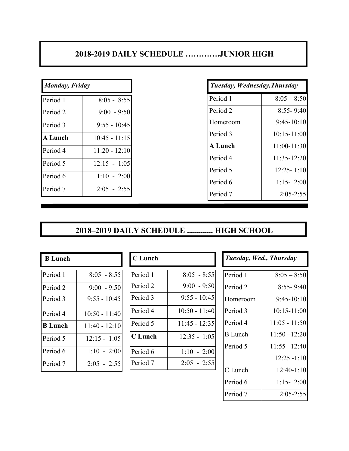## **2018-2019 DAILY SCHEDULE ………….JUNIOR HIGH**

| <b>Monday</b> , Friday |                 |
|------------------------|-----------------|
| Period 1               | $8:05 - 8:55$   |
| Period 2               | $9:00 - 9:50$   |
| Period 3               | $9:55 - 10:45$  |
| <b>A Lunch</b>         | $10:45 - 11:15$ |
| Period 4               | $11:20 - 12:10$ |
| Period 5               | $12:15 - 1:05$  |
| Period 6               | $1:10 - 2:00$   |
| Period 7               | $2:05 - 2:55$   |

| <b>Monday, Friday</b> |                 | Tuesday, Wednesday, Thursday |                 |
|-----------------------|-----------------|------------------------------|-----------------|
| Period 1              | $8:05 - 8:55$   | Period 1                     | $8:05 - 8:50$   |
| Period 2              | $9:00 - 9:50$   | Period 2                     | $8:55 - 9:40$   |
| Period 3              | $9:55 - 10:45$  | Homeroom                     | $9:45-10:10$    |
| <b>A Lunch</b>        | $10:45 - 11:15$ | Period 3                     | $10:15 - 11:00$ |
| Period 4              | $11:20 - 12:10$ | <b>A</b> Lunch               | $11:00-11:30$   |
| Period 5              | $12:15 - 1:05$  | Period 4                     | 11:35-12:20     |
| Period 6              | $1:10 - 2:00$   | Period 5                     | $12:25 - 1:10$  |
|                       |                 | Period 6                     | $1:15 - 2:00$   |
| Period 7              | $2:05 - 2:55$   | Period 7                     | $2:05 - 2:55$   |

## **2018–2019 DAILY SCHEDULE ............. HIGH SCHOOL**

| <b>B</b> Lunch |                 |
|----------------|-----------------|
| Period 1       | $8:05 - 8:55$   |
| Period 2       | $9:00 - 9:50$   |
| Period 3       | $9:55 - 10:45$  |
| Period 4       | $10:50 - 11:40$ |
| <b>B</b> Lunch | $11:40 - 12:10$ |
| Period 5       | $12:15 - 1:05$  |
| Period 6       | $1:10 - 2:00$   |
| Period 7       | $2:05 - 2:55$   |

| <b>C</b> Lunch |                 |
|----------------|-----------------|
| Period 1       | $8:05 - 8:55$   |
| Period 2       | $9:00 - 9:50$   |
| Period 3       | $9:55 - 10:45$  |
| Period 4       | $10:50 - 11:40$ |
| Period 5       | $11:45 - 12:35$ |
| <b>C</b> Lunch | $12:35 - 1:05$  |
| Period 6       | $1:10 - 2:00$   |
| Period 7       | $2:05 - 2:55$   |

| Tuesday, Wed., Thursday |  |
|-------------------------|--|
|-------------------------|--|

| Period 1            | $8:05 - 8:50$   |
|---------------------|-----------------|
| Period <sub>2</sub> | $8:55 - 9:40$   |
| Homeroom            | $9:45-10:10$    |
| Period 3            | $10:15 - 11:00$ |
| Period 4            | $11:05 - 11:50$ |
| <b>B</b> Lunch      | $11:50 - 12:20$ |
| Period 5            | $11:55 - 12:40$ |
|                     | $12:25 - 1:10$  |
| C Lunch             | $12:40-1:10$    |
| Period 6            | $1:15 - 2:00$   |
| Period 7            | $2:05 - 2:55$   |